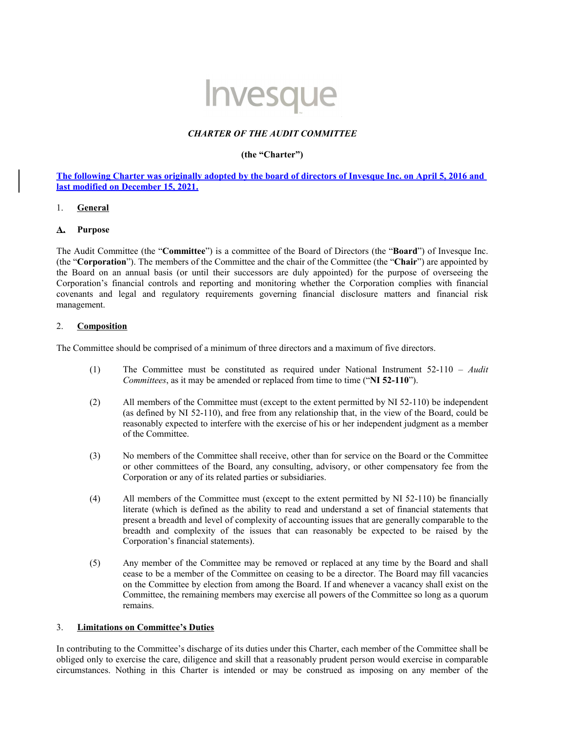# Invesque

## *CHARTER OF THE AUDIT COMMITTEE*

## **(the "Charter")**

**The following Charter was originally adopted by the board of directors of Invesque Inc. on April 5, 2016 and last modified on December 15, 2021.**

## 1. **General**

## **A. Purpose**

The Audit Committee (the "**Committee**") is a committee of the Board of Directors (the "**Board**") of Invesque Inc. (the "**Corporation**"). The members of the Committee and the chair of the Committee (the "**Chair**") are appointed by the Board on an annual basis (or until their successors are duly appointed) for the purpose of overseeing the Corporation's financial controls and reporting and monitoring whether the Corporation complies with financial covenants and legal and regulatory requirements governing financial disclosure matters and financial risk management.

## 2. **Composition**

The Committee should be comprised of a minimum of three directors and a maximum of five directors.

- (1) The Committee must be constituted as required under National Instrument 52-110 *Audit Committees*, as it may be amended or replaced from time to time ("**NI 52-110**").
- (2) All members of the Committee must (except to the extent permitted by NI 52-110) be independent (as defined by NI 52-110), and free from any relationship that, in the view of the Board, could be reasonably expected to interfere with the exercise of his or her independent judgment as a member of the Committee.
- (3) No members of the Committee shall receive, other than for service on the Board or the Committee or other committees of the Board, any consulting, advisory, or other compensatory fee from the Corporation or any of its related parties or subsidiaries.
- (4) All members of the Committee must (except to the extent permitted by NI 52-110) be financially literate (which is defined as the ability to read and understand a set of financial statements that present a breadth and level of complexity of accounting issues that are generally comparable to the breadth and complexity of the issues that can reasonably be expected to be raised by the Corporation's financial statements).
- (5) Any member of the Committee may be removed or replaced at any time by the Board and shall cease to be a member of the Committee on ceasing to be a director. The Board may fill vacancies on the Committee by election from among the Board. If and whenever a vacancy shall exist on the Committee, the remaining members may exercise all powers of the Committee so long as a quorum remains.

## 3. **Limitations on Committee's Duties**

In contributing to the Committee's discharge of its duties under this Charter, each member of the Committee shall be obliged only to exercise the care, diligence and skill that a reasonably prudent person would exercise in comparable circumstances. Nothing in this Charter is intended or may be construed as imposing on any member of the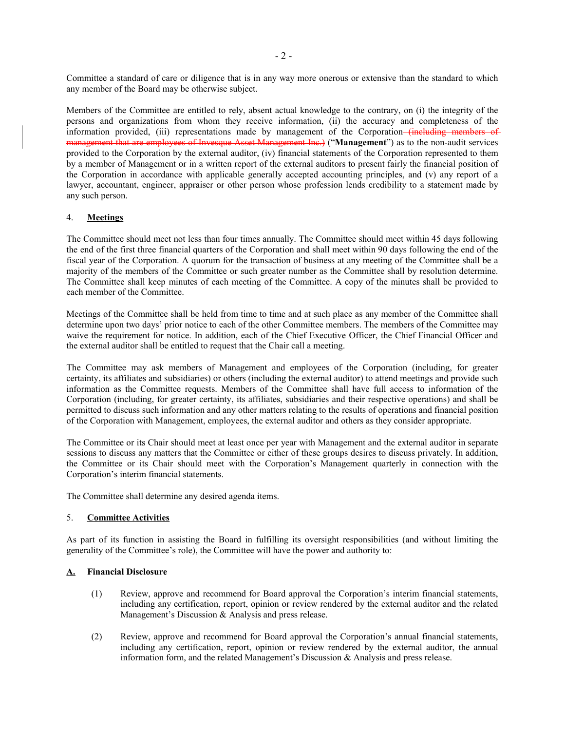Committee a standard of care or diligence that is in any way more onerous or extensive than the standard to which any member of the Board may be otherwise subject.

Members of the Committee are entitled to rely, absent actual knowledge to the contrary, on (i) the integrity of the persons and organizations from whom they receive information, (ii) the accuracy and completeness of the information provided, (iii) representations made by management of the Corporation-tincluding members of management that are employees of Invesque Asset Management Inc.) ("**Management**") as to the non-audit services provided to the Corporation by the external auditor, (iv) financial statements of the Corporation represented to them by a member of Management or in a written report of the external auditors to present fairly the financial position of the Corporation in accordance with applicable generally accepted accounting principles, and (v) any report of a lawyer, accountant, engineer, appraiser or other person whose profession lends credibility to a statement made by any such person.

#### 4. **Meetings**

The Committee should meet not less than four times annually. The Committee should meet within 45 days following the end of the first three financial quarters of the Corporation and shall meet within 90 days following the end of the fiscal year of the Corporation. A quorum for the transaction of business at any meeting of the Committee shall be a majority of the members of the Committee or such greater number as the Committee shall by resolution determine. The Committee shall keep minutes of each meeting of the Committee. A copy of the minutes shall be provided to each member of the Committee.

Meetings of the Committee shall be held from time to time and at such place as any member of the Committee shall determine upon two days' prior notice to each of the other Committee members. The members of the Committee may waive the requirement for notice. In addition, each of the Chief Executive Officer, the Chief Financial Officer and the external auditor shall be entitled to request that the Chair call a meeting.

The Committee may ask members of Management and employees of the Corporation (including, for greater certainty, its affiliates and subsidiaries) or others (including the external auditor) to attend meetings and provide such information as the Committee requests. Members of the Committee shall have full access to information of the Corporation (including, for greater certainty, its affiliates, subsidiaries and their respective operations) and shall be permitted to discuss such information and any other matters relating to the results of operations and financial position of the Corporation with Management, employees, the external auditor and others as they consider appropriate.

The Committee or its Chair should meet at least once per year with Management and the external auditor in separate sessions to discuss any matters that the Committee or either of these groups desires to discuss privately. In addition, the Committee or its Chair should meet with the Corporation's Management quarterly in connection with the Corporation's interim financial statements.

The Committee shall determine any desired agenda items.

## 5. **Committee Activities**

As part of its function in assisting the Board in fulfilling its oversight responsibilities (and without limiting the generality of the Committee's role), the Committee will have the power and authority to:

#### **A. Financial Disclosure**

- (1) Review, approve and recommend for Board approval the Corporation's interim financial statements, including any certification, report, opinion or review rendered by the external auditor and the related Management's Discussion & Analysis and press release.
- (2) Review, approve and recommend for Board approval the Corporation's annual financial statements, including any certification, report, opinion or review rendered by the external auditor, the annual information form, and the related Management's Discussion & Analysis and press release.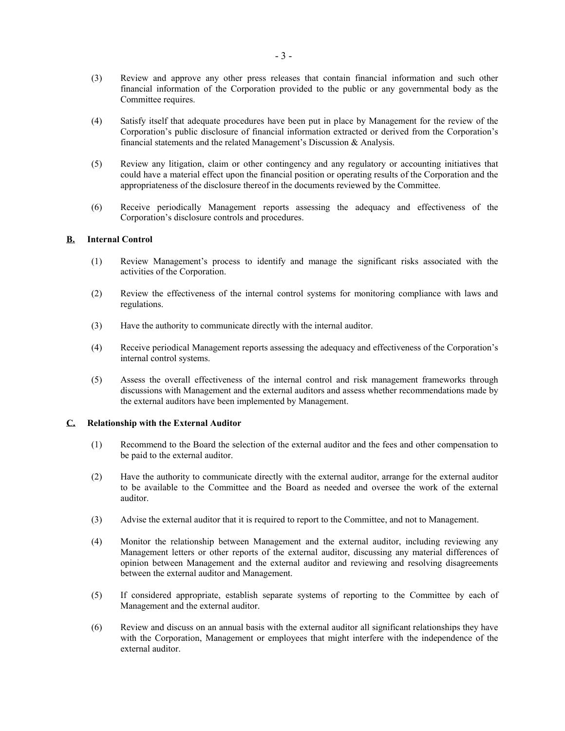- (3) Review and approve any other press releases that contain financial information and such other financial information of the Corporation provided to the public or any governmental body as the Committee requires.
- (4) Satisfy itself that adequate procedures have been put in place by Management for the review of the Corporation's public disclosure of financial information extracted or derived from the Corporation's financial statements and the related Management's Discussion & Analysis.
- (5) Review any litigation, claim or other contingency and any regulatory or accounting initiatives that could have a material effect upon the financial position or operating results of the Corporation and the appropriateness of the disclosure thereof in the documents reviewed by the Committee.
- (6) Receive periodically Management reports assessing the adequacy and effectiveness of the Corporation's disclosure controls and procedures.

#### **B. Internal Control**

- (1) Review Management's process to identify and manage the significant risks associated with the activities of the Corporation.
- (2) Review the effectiveness of the internal control systems for monitoring compliance with laws and regulations.
- (3) Have the authority to communicate directly with the internal auditor.
- (4) Receive periodical Management reports assessing the adequacy and effectiveness of the Corporation's internal control systems.
- (5) Assess the overall effectiveness of the internal control and risk management frameworks through discussions with Management and the external auditors and assess whether recommendations made by the external auditors have been implemented by Management.

#### **C. Relationship with the External Auditor**

- (1) Recommend to the Board the selection of the external auditor and the fees and other compensation to be paid to the external auditor.
- (2) Have the authority to communicate directly with the external auditor, arrange for the external auditor to be available to the Committee and the Board as needed and oversee the work of the external auditor.
- (3) Advise the external auditor that it is required to report to the Committee, and not to Management.
- (4) Monitor the relationship between Management and the external auditor, including reviewing any Management letters or other reports of the external auditor, discussing any material differences of opinion between Management and the external auditor and reviewing and resolving disagreements between the external auditor and Management.
- (5) If considered appropriate, establish separate systems of reporting to the Committee by each of Management and the external auditor.
- (6) Review and discuss on an annual basis with the external auditor all significant relationships they have with the Corporation, Management or employees that might interfere with the independence of the external auditor.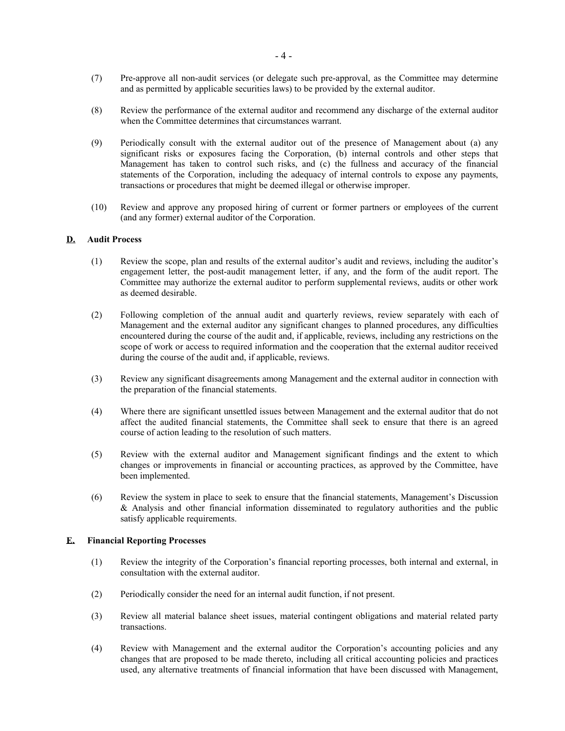- (7) Pre-approve all non-audit services (or delegate such pre-approval, as the Committee may determine and as permitted by applicable securities laws) to be provided by the external auditor.
- (8) Review the performance of the external auditor and recommend any discharge of the external auditor when the Committee determines that circumstances warrant.
- (9) Periodically consult with the external auditor out of the presence of Management about (a) any significant risks or exposures facing the Corporation, (b) internal controls and other steps that Management has taken to control such risks, and (c) the fullness and accuracy of the financial statements of the Corporation, including the adequacy of internal controls to expose any payments, transactions or procedures that might be deemed illegal or otherwise improper.
- (10) Review and approve any proposed hiring of current or former partners or employees of the current (and any former) external auditor of the Corporation.

## **D. Audit Process**

- (1) Review the scope, plan and results of the external auditor's audit and reviews, including the auditor's engagement letter, the post-audit management letter, if any, and the form of the audit report. The Committee may authorize the external auditor to perform supplemental reviews, audits or other work as deemed desirable.
- (2) Following completion of the annual audit and quarterly reviews, review separately with each of Management and the external auditor any significant changes to planned procedures, any difficulties encountered during the course of the audit and, if applicable, reviews, including any restrictions on the scope of work or access to required information and the cooperation that the external auditor received during the course of the audit and, if applicable, reviews.
- (3) Review any significant disagreements among Management and the external auditor in connection with the preparation of the financial statements.
- (4) Where there are significant unsettled issues between Management and the external auditor that do not affect the audited financial statements, the Committee shall seek to ensure that there is an agreed course of action leading to the resolution of such matters.
- (5) Review with the external auditor and Management significant findings and the extent to which changes or improvements in financial or accounting practices, as approved by the Committee, have been implemented.
- (6) Review the system in place to seek to ensure that the financial statements, Management's Discussion & Analysis and other financial information disseminated to regulatory authorities and the public satisfy applicable requirements.

#### **E. Financial Reporting Processes**

- (1) Review the integrity of the Corporation's financial reporting processes, both internal and external, in consultation with the external auditor.
- (2) Periodically consider the need for an internal audit function, if not present.
- (3) Review all material balance sheet issues, material contingent obligations and material related party transactions.
- (4) Review with Management and the external auditor the Corporation's accounting policies and any changes that are proposed to be made thereto, including all critical accounting policies and practices used, any alternative treatments of financial information that have been discussed with Management,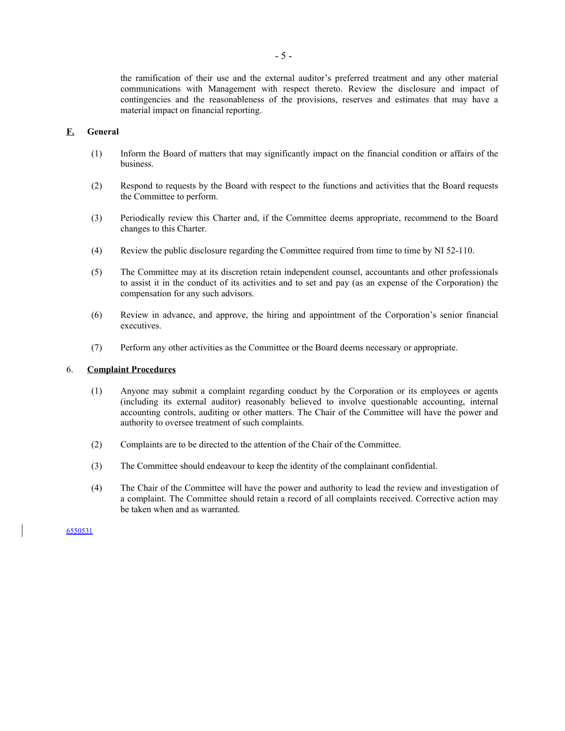the ramification of their use and the external auditor's preferred treatment and any other material communications with Management with respect thereto. Review the disclosure and impact of contingencies and the reasonableness of the provisions, reserves and estimates that may have a material impact on financial reporting.

## **F. General**

- (1) Inform the Board of matters that may significantly impact on the financial condition or affairs of the business.
- (2) Respond to requests by the Board with respect to the functions and activities that the Board requests the Committee to perform.
- (3) Periodically review this Charter and, if the Committee deems appropriate, recommend to the Board changes to this Charter.
- (4) Review the public disclosure regarding the Committee required from time to time by NI 52-110.
- (5) The Committee may at its discretion retain independent counsel, accountants and other professionals to assist it in the conduct of its activities and to set and pay (as an expense of the Corporation) the compensation for any such advisors.
- (6) Review in advance, and approve, the hiring and appointment of the Corporation's senior financial executives.
- (7) Perform any other activities as the Committee or the Board deems necessary or appropriate.

#### 6. **Complaint Procedures**

- (1) Anyone may submit a complaint regarding conduct by the Corporation or its employees or agents (including its external auditor) reasonably believed to involve questionable accounting, internal accounting controls, auditing or other matters. The Chair of the Committee will have the power and authority to oversee treatment of such complaints.
- (2) Complaints are to be directed to the attention of the Chair of the Committee.
- (3) The Committee should endeavour to keep the identity of the complainant confidential.
- (4) The Chair of the Committee will have the power and authority to lead the review and investigation of a complaint. The Committee should retain a record of all complaints received. Corrective action may be taken when and as warranted.

6550531